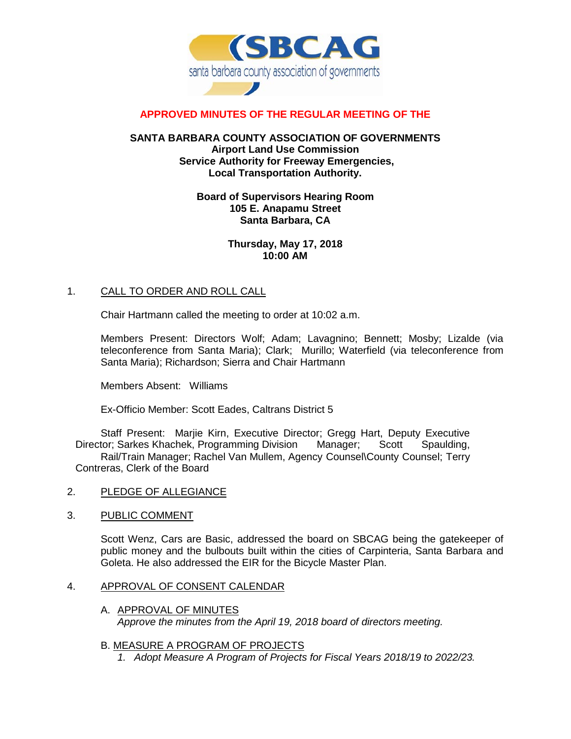

# **APPROVED MINUTES OF THE REGULAR MEETING OF THE**

## **SANTA BARBARA COUNTY ASSOCIATION OF GOVERNMENTS Airport Land Use Commission Service Authority for Freeway Emergencies, Local Transportation Authority.**

## **Board of Supervisors Hearing Room 105 E. Anapamu Street Santa Barbara, CA**

## **Thursday, May 17, 2018 10:00 AM**

## 1. CALL TO ORDER AND ROLL CALL

Chair Hartmann called the meeting to order at 10:02 a.m.

Members Present: Directors Wolf; Adam; Lavagnino; Bennett; Mosby; Lizalde (via teleconference from Santa Maria); Clark; Murillo; Waterfield (via teleconference from Santa Maria); Richardson; Sierra and Chair Hartmann

Members Absent: Williams

Ex-Officio Member: Scott Eades, Caltrans District 5

Staff Present: Marjie Kirn, Executive Director; Gregg Hart, Deputy Executive Director; Sarkes Khachek, Programming Division Manager; Scott Spaulding, Rail/Train Manager; Rachel Van Mullem, Agency Counsel\County Counsel; Terry Contreras, Clerk of the Board

- 2. PLEDGE OF ALLEGIANCE
- 3. PUBLIC COMMENT

Scott Wenz, Cars are Basic, addressed the board on SBCAG being the gatekeeper of public money and the bulbouts built within the cities of Carpinteria, Santa Barbara and Goleta. He also addressed the EIR for the Bicycle Master Plan.

#### 4. APPROVAL OF CONSENT CALENDAR

A. APPROVAL OF MINUTES *Approve the minutes from the April 19, 2018 board of directors meeting.*

## B. MEASURE A PROGRAM OF PROJECTS

*1. Adopt Measure A Program of Projects for Fiscal Years 2018/19 to 2022/23.*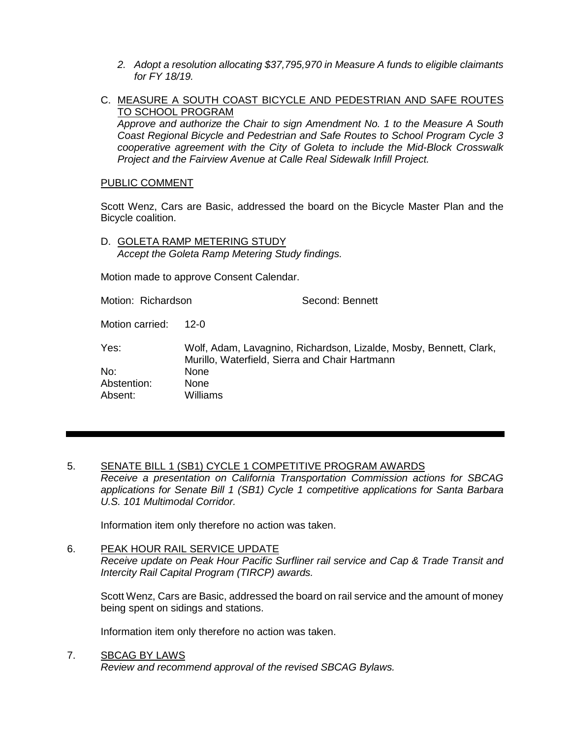- *2. Adopt a resolution allocating \$37,795,970 in Measure A funds to eligible claimants for FY 18/19.*
- C. MEASURE A SOUTH COAST BICYCLE AND PEDESTRIAN AND SAFE ROUTES TO SCHOOL PROGRAM

*Approve and authorize the Chair to sign Amendment No. 1 to the Measure A South Coast Regional Bicycle and Pedestrian and Safe Routes to School Program Cycle 3 cooperative agreement with the City of Goleta to include the Mid-Block Crosswalk Project and the Fairview Avenue at Calle Real Sidewalk Infill Project.*

#### PUBLIC COMMENT

Scott Wenz, Cars are Basic, addressed the board on the Bicycle Master Plan and the Bicycle coalition.

D. GOLETA RAMP METERING STUDY *Accept the Goleta Ramp Metering Study findings.*

Motion made to approve Consent Calendar.

Motion: Richardson Second: Bennett

Motion carried: 12-0

Yes: Wolf, Adam, Lavagnino, Richardson, Lizalde, Mosby, Bennett, Clark, Murillo, Waterfield, Sierra and Chair Hartmann No: None Abstention: None Absent: Williams

# 5. SENATE BILL 1 (SB1) CYCLE 1 COMPETITIVE PROGRAM AWARDS

*Receive a presentation on California Transportation Commission actions for SBCAG applications for Senate Bill 1 (SB1) Cycle 1 competitive applications for Santa Barbara U.S. 101 Multimodal Corridor.*

Information item only therefore no action was taken.

#### 6. PEAK HOUR RAIL SERVICE UPDATE

*Receive update on Peak Hour Pacific Surfliner rail service and Cap & Trade Transit and Intercity Rail Capital Program (TIRCP) awards.*

Scott Wenz, Cars are Basic, addressed the board on rail service and the amount of money being spent on sidings and stations.

Information item only therefore no action was taken.

7. SBCAG BY LAWS

*Review and recommend approval of the revised SBCAG Bylaws.*